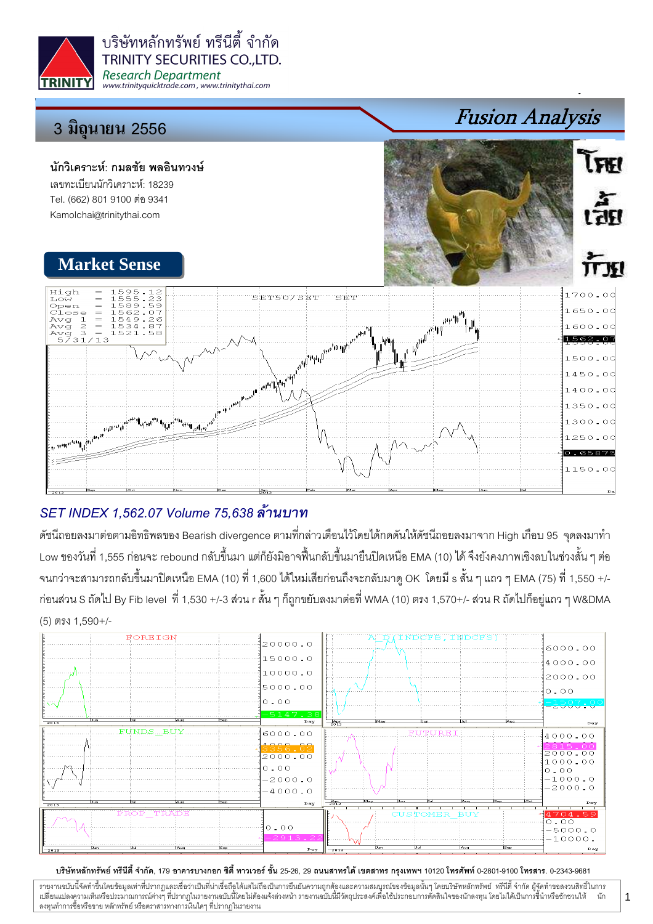

# SET INDEX 1,562.07 Volume 75,638 ล้านบาท

้ดัชนีถอยลงมาต่อตามอิทธิพลของ Bearish divergence ตามที่กล่าวเตือนไว้โดยได้กดดันให้ดัชนีถอยลงมาจาก High เกือบ 95 จุดลงมาทำ Low ของวันที่ 1,555 ก่อนจะ rebound กลับขึ้นมา แต่ก็ยังมิอาจฟื้นกลับขึ้นมายืนปิดเหนือ EMA (10) ได้ จึงยังคงภาพเชิงลบในช่วงสั้น ๆ ต่อ ึ จนกว่าจะสามารถกลับขึ้นมาปิดเหนือ EMA (10) ที่ 1,600 ได้ใหม่เสียก่อนถึงจะกลับมาดู OK โดยมี s สั้น ๆ แถว ๆ EMA (75) ที่ 1,550 +/-ก่อนส่วน S ถัดไป By Fib level ที่ 1,530 +/-3 ส่วน r สั้น ๆ ก็ถูกขยับลงมาต่อที่ WMA (10) ตรง 1,570+/- ส่วน R ถัดไปก็อยู่แถว ๆ W&DMA  $(5)$  ตรง 1.590+/-



## บริษัทหลักทรัพย์ ทรีนีตี้ จำกัด, 179 อาคารบางกอก ซิตี้ ทาวเวอร์ ชั้น 25-26, 29 ถนนสาทรใต้ เขตสาทร กรุงเทพฯ 10120 โทรศัพท์ 0-2801-9100 โทรสาร. 0-2343-9681

วายงานฉบับนี้จัดทำขึ้นโดยข้อมูลเท่าที่ปรากฎและเชื่อว่าเป็นที่น่าเชื่อถือได้แต่ไม่ถือเป็นการยืนยันความถูกต้องและความสมบูรณ์ของข้อมูลนั้นๆ โดยบริษัทหลักทรัพย์ ทรีนีตี้ จำกัด ผู้จัดทำขอสงวนสิทธิ์ในการ นัก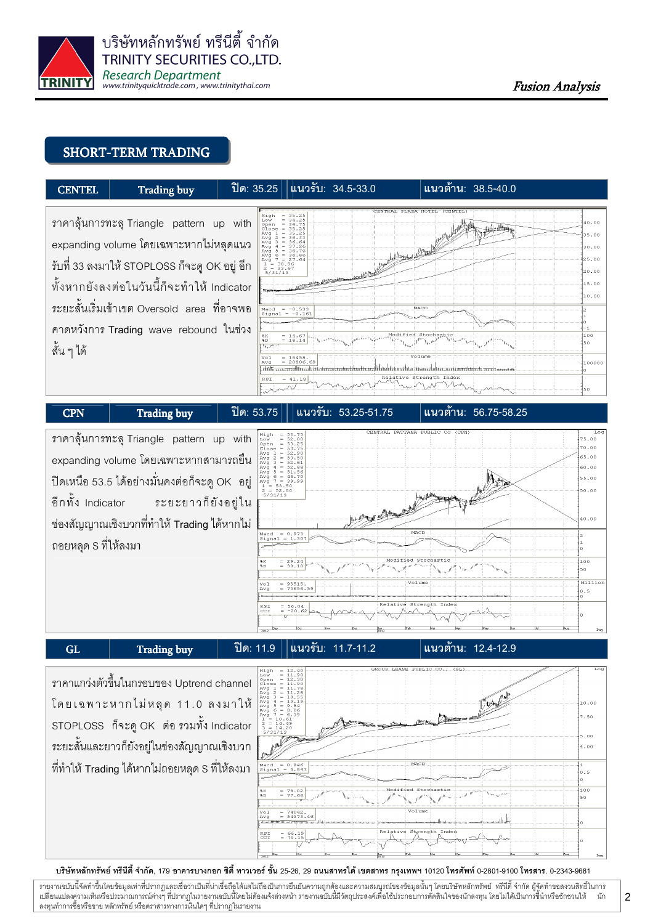

## SHORT-TERM TRADING



#### $CPN$  Trading buy  $\left| \begin{array}{ccc} \n\end{array} \right|$  10: 53.75 I ราคาลุ้นการทะลุ Triangle pattern up with  $5.00$  $0.00$ expanding volume โดยเฉพาะหากสามารถยื่น  $55.00$  $\sim$ ปิดเหนือ 53.5 ได้อย่างมั่นคงต่อก็จะดู OK อยู่  $5 - 20$  $0.00$ ระยะยาวก็ยังอยู่ใน อีกทั้ง Indicator ร  $10.00$ ช่องสัญญาณเชิงบวกที่ทำให้ Trading ได้หากไม่ *Aacd = 0.973*<br>Bignal = 1.30 ถอยหลุด S ที่ให้ลงมา  $\overline{100}$ %K<br>%D  $= 29.24$ <br> $= 30.10$ Millio 95515.<br>73656.59  $\overline{\phantom{a}}$ Relative  $Inc$ GL  $\vert$  Trading buy  $\vert$  1 $\mathbb{R}$  11.9 แนวรับ: 11.7-11.2 |แนวต้าน: 12.4-12.9

# ราคาแกว่งตัวขึ้นในกรอบของ Uptrend channel โดยเฉพาะหากไม่หลุด 11.0 ลงมาให้ STOPLOSS ก็จะดู OK ต่อ รวมทั้ง Indicator ระยะสั้นและยาวก็ยังอยู่ในช่องสัญญาณเชิงบวก ที่ทำให้ Trading ได้หากไม่ถอยหลุด S ที่ให้ลงมา



### บริษัทหลักทรัพย์ ทรีนีตี้ จำกัด, 179 อาคารบางกอก ซิตี้ ทาวเวอร์ ชั้น 25-26, 29 ถนนสาทรใต้ เตตสาห กรุงเทพฯ 10120 โทรศัพท์ 0-2801-9100 โทรสาร. 0-2343-9681

รายงานฉบับนี้จัดทำขึ้นโดยข้อมูลเท่าที่ปรากฏและเชื่อว่าเป็นที่มากขึ้นตั้งเป็นก็ตะบนการตารามสมบูรณ์ของข้อมูลนั้นๆ โดยบริษัทหลักทรัพย์ ทรีนี้ตี้จำกัด ผู้จัดทำขอสงวนสิทธิ์ในการ i เปลี่ยนแปลงความเห็นหรือประมาณการณ์ต่างๆ ที่ปรากฏในรายงานอบับนี้โดย การกระบบกันไม่ได้รับระบบการตัดสินใจของนักลงทุน โดยไม่ได้เป็นการขึ้นำหรือขักชวนให้ นัก ลงทุนทำการซื้อหรือขาย หลักทรัพย์ หรือตราสารทางการเงินใดๆ ที่ปรากฏในรายงาน